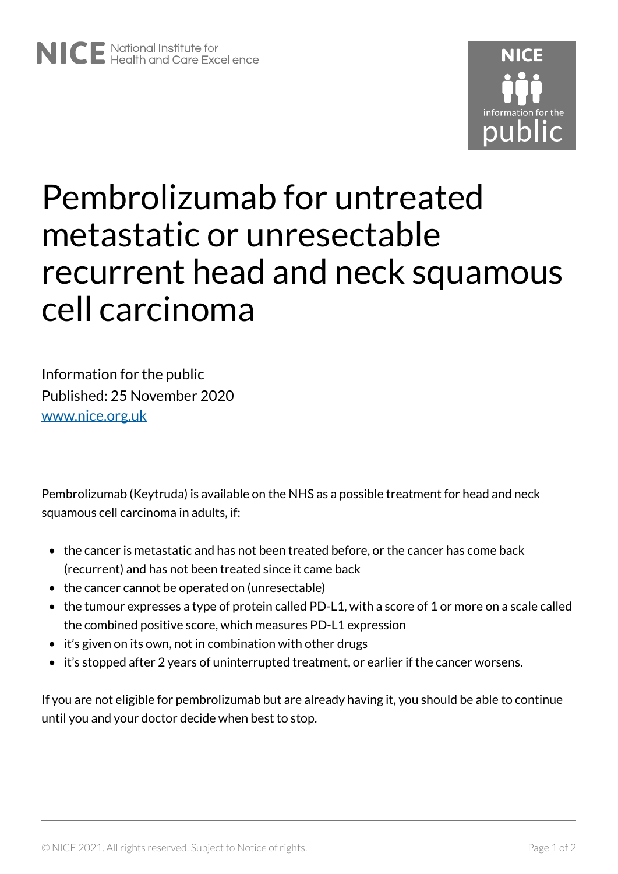

## Pembrolizumab for untreated metastatic or unresectable recurrent head and neck squamous cell carcinoma

Information for the public Published: 25 November 2020 [www.nice.org.uk](https://www.nice.org.uk/) 

Pembrolizumab (Keytruda) is available on the NHS as a possible treatment for head and neck squamous cell carcinoma in adults, if:

- the cancer is metastatic and has not been treated before, or the cancer has come back (recurrent) and has not been treated since it came back
- the cancer cannot be operated on (unresectable)
- the tumour expresses a type of protein called PD-L1, with a score of 1 or more on a scale called the combined positive score, which measures PD-L1 expression
- it's given on its own, not in combination with other drugs
- it's stopped after 2 years of uninterrupted treatment, or earlier if the cancer worsens.

If you are not eligible for pembrolizumab but are already having it, you should be able to continue until you and your doctor decide when best to stop.